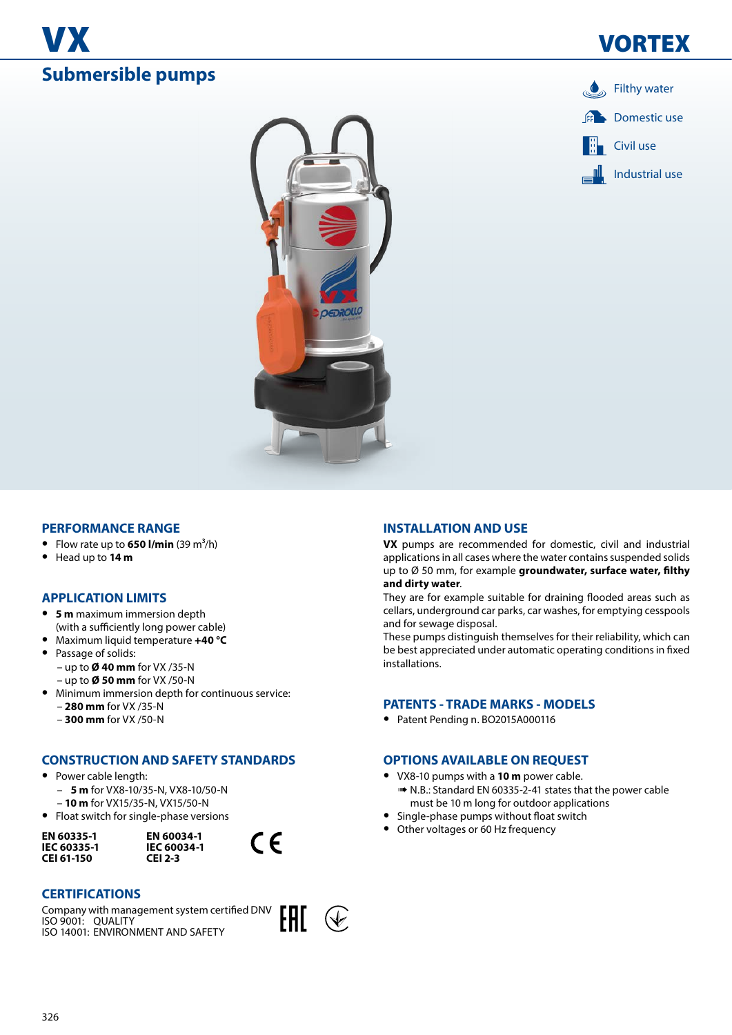





## **PERFORMANCE RANGE**

- Flow rate up to  $650$  l/min  $(39 \text{ m}^3/\text{h})$
- **•** Head up to **14 m**

## **APPLICATION LIMITS**

- **• 5 m** maximum immersion depth (with a sufficiently long power cable)
- **•** Maximum liquid temperature **+40 °C**
- **•** Passage of solids: – up to **Ø 40 mm** for VX /35-N
	- up to **Ø 50 mm** for VX /50-N
- **•** Minimum immersion depth for continuous service: – **280 mm** for VX /35-N
	- **300 mm** for VX /50-N

## **CONSTRUCTION AND SAFETY STANDARDS**

- **•** Power cable length:
	- **5 m** for VX8-10/35-N, VX8-10/50-N
	- **10 m** for VX15/35-N, VX15/50-N
- **•** Float switch for single-phase versions

**EN 60335-1 IEC 60335-1 CEI 61-150**

**EN 60034-1 IEC 60034-1 CEI 2-3**

## **CERTIFICATIONS**

Company with management system certified DNV ISO 9001: QUALITY ISO 14001: ENVIRONMENT AND SAFETY



 $\epsilon$ 

## **INSTALLATION AND USE**

**VX** pumps are recommended for domestic, civil and industrial applications in all cases where the water contains suspended solids up to Ø 50 mm, for example **groundwater, surface water, filthy and dirty water**.

They are for example suitable for draining flooded areas such as cellars, underground car parks, car washes, for emptying cesspools and for sewage disposal.

These pumps distinguish themselves for their reliability, which can be best appreciated under automatic operating conditions in fixed installations.

### **PATENTS - TRADE MARKS - MODELS**

**•** Patent Pending n. BO2015A000116

## **OPTIONS AVAILABLE ON REQUEST**

- **•** VX8-10 pumps with a **10 m** power cable.
- ➠ N.B.: Standard EN 60335-2-41 states that the power cable must be 10 m long for outdoor applications
- **•** Single-phase pumps without float switch
- **•** Other voltages or 60 Hz frequency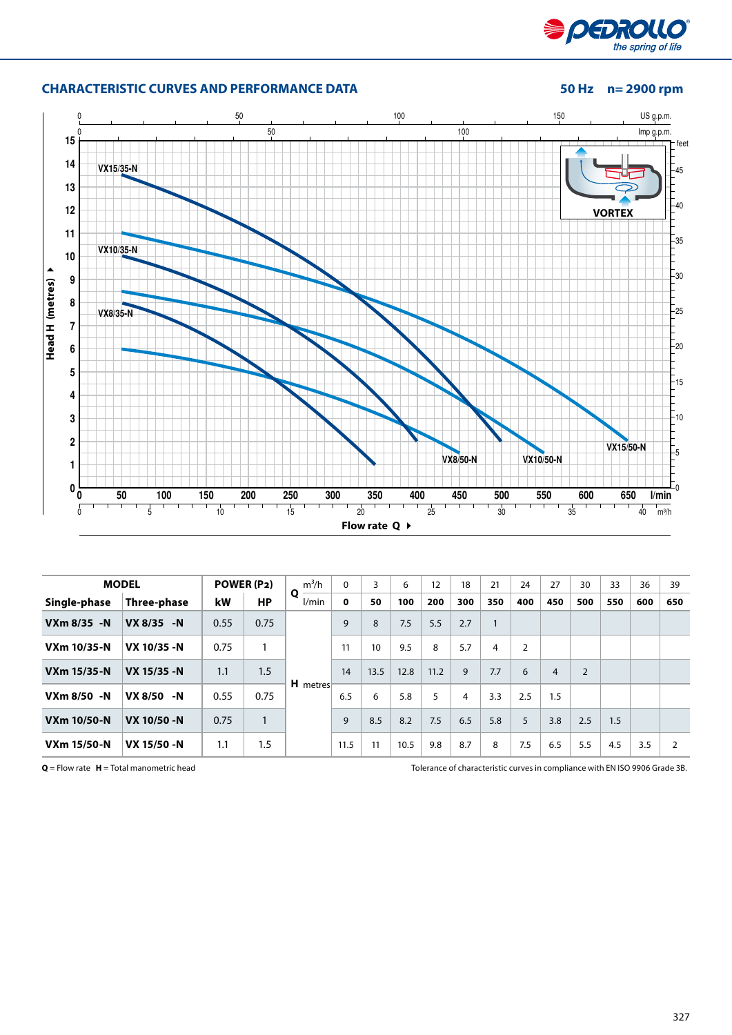

# **CHARACTERISTIC CURVES AND PERFORMANCE DATA 50 Hz n= 2900 rpm**



|                    | <b>MODEL</b>         |      | POWER (P2) | $m^3/h$    | 0           | 3    | 6    | 12          | 18  | 21           | 24             | 27             | 30             | 33  | 36  | 39             |
|--------------------|----------------------|------|------------|------------|-------------|------|------|-------------|-----|--------------|----------------|----------------|----------------|-----|-----|----------------|
| Single-phase       | Three-phase          | kW   | <b>HP</b>  | Q<br>l/min | $\mathbf 0$ | 50   | 100  | 200         | 300 | 350          | 400            | 450            | 500            | 550 | 600 | 650            |
| $VXm$ 8/35 -N      | <b>VX 8/35</b><br>-N | 0.55 | 0.75       |            | 9           | 8    | 7.5  | 5.5         | 2.7 | $\mathbf{1}$ |                |                |                |     |     |                |
| <b>VXm 10/35-N</b> | VX 10/35 -N          | 0.75 | 1          |            | 11          | 10   | 9.5  | 8           | 5.7 | 4            | $\overline{2}$ |                |                |     |     |                |
| <b>VXm 15/35-N</b> | VX 15/35 -N          | 1.1  | 1.5        |            | 14          | 13.5 | 12.8 | 11.2        | 9   | 7.7          | 6              | $\overline{4}$ | $\overline{2}$ |     |     |                |
| VXm 8/50 -N        | VX 8/50 -N           | 0.55 | 0.75       | H metres   | 6.5         | 6    | 5.8  | $5^{\circ}$ | 4   | 3.3          | 2.5            | 1.5            |                |     |     |                |
| <b>VXm 10/50-N</b> | VX 10/50 -N          | 0.75 |            |            | 9           | 8.5  | 8.2  | 7.5         | 6.5 | 5.8          | 5              | 3.8            | 2.5            | 1.5 |     |                |
| <b>VXm 15/50-N</b> | VX 15/50 -N          | 1.1  | 1.5        |            | 11.5        | 11   | 10.5 | 9.8         | 8.7 | 8            | 7.5            | 6.5            | 5.5            | 4.5 | 3.5 | $\overline{2}$ |

**Q** = Flow rate **H** = Total manometric head Tolerance of characteristic curves in compliance with EN ISO 9906 Grade 3B.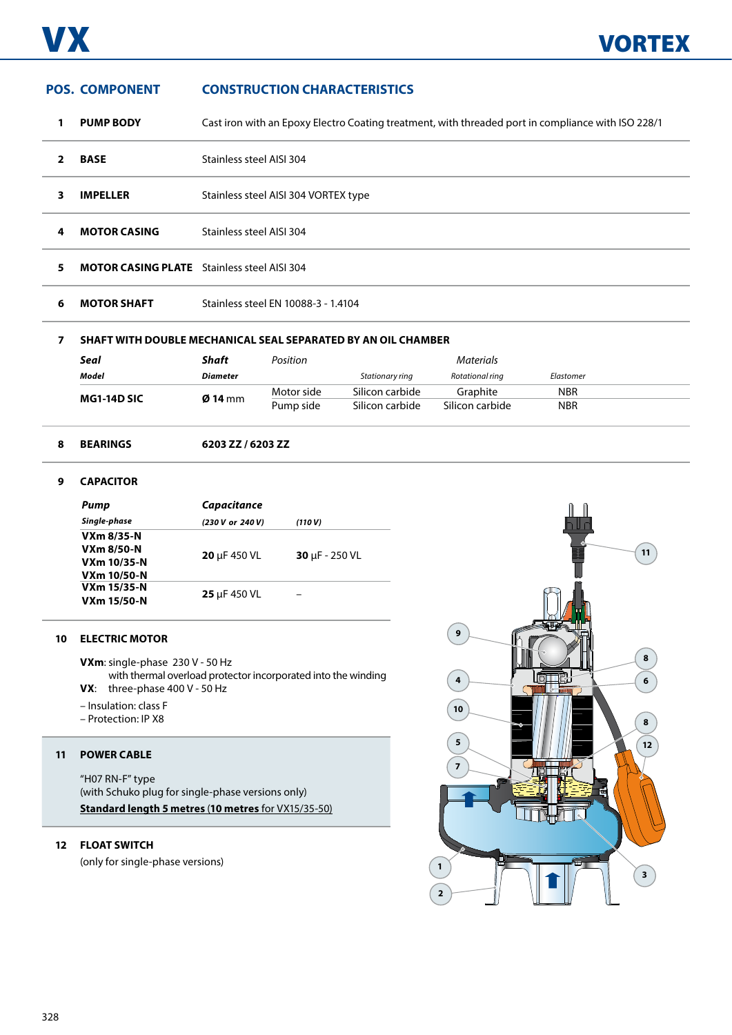## **POS. COMPONENT CONSTRUCTION CHARACTERISTICS**

- **1 PUMP BODY** Cast iron with an Epoxy Electro Coating treatment, with threaded port in compliance with ISO 228/1
- **2 BASE** Stainless steel AISI 304
- **3 IMPELLER** Stainless steel AISI 304 VORTEX type
- **4 MOTOR CASING** Stainless steel AISI 304
- **5 MOTOR CASING PLATE** Stainless steel AISI 304
- **6 MOTOR SHAFT** Stainless steel EN 10088-3 1.4104

## **7 SHAFT WITH DOUBLE MECHANICAL SEAL SEPARATED BY AN OIL CHAMBER**

| Seal               | Shaft             | Position   |                 | <b>Materials</b> |            |  |
|--------------------|-------------------|------------|-----------------|------------------|------------|--|
| Model              | <b>Diameter</b>   |            | Stationary ring | Rotational ring  | Elastomer  |  |
| <b>MG1-14D SIC</b> | $\emptyset$ 14 mm | Motor side | Silicon carbide | Graphite         | <b>NBR</b> |  |
|                    |                   | Pump side  | Silicon carbide | Silicon carbide  | <b>NBR</b> |  |

### **8 BEARINGS 6203 ZZ / 6203 ZZ**

## **9 CAPACITOR**

| Pump               | <b>Capacitance</b> |                             |  |  |
|--------------------|--------------------|-----------------------------|--|--|
| Single-phase       | (230 V or 240 V)   | (110 V)                     |  |  |
| VXm 8/35-N         |                    |                             |  |  |
| <b>VXm 8/50-N</b>  | 20 µF 450 VL       | $30 \mu F - 250 \text{ VL}$ |  |  |
| VXm 10/35-N        |                    |                             |  |  |
| VXm 10/50-N        |                    |                             |  |  |
| <b>VXm 15/35-N</b> |                    |                             |  |  |
| <b>VXm 15/50-N</b> | 25 µF 450 VL       |                             |  |  |

### **10 ELECTRIC MOTOR**

**VXm**: single-phase 230 V - 50 Hz

with thermal overload protector incorporated into the winding **VX**: three-phase 400 V - 50 Hz

- Insulation: class F
- Protection: IP X8

### **11 POWER CABLE**

"H07 RN-F" type (with Schuko plug for single-phase versions only) **Standard length 5 metres** (**10 metres** for VX15/35-50)

## **12 FLOAT SWITCH**

(only for single-phase versions)